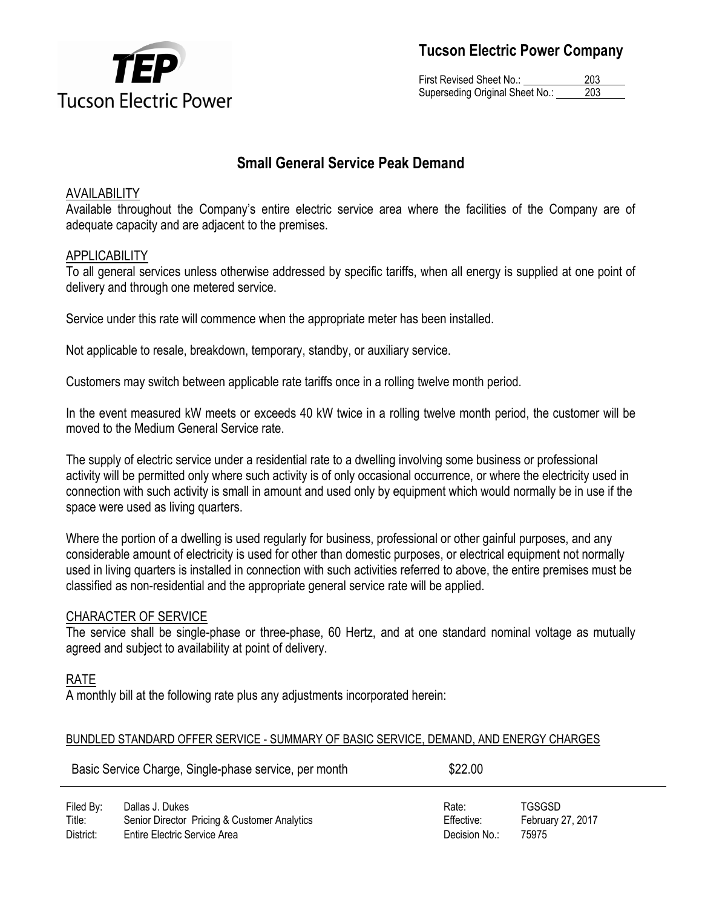

First Revised Sheet No.: 203 Superseding Original Sheet No.: 203

## **Small General Service Peak Demand**

## AVAILABILITY

Available throughout the Company's entire electric service area where the facilities of the Company are of adequate capacity and are adjacent to the premises.

#### APPLICABILITY

To all general services unless otherwise addressed by specific tariffs, when all energy is supplied at one point of delivery and through one metered service.

Service under this rate will commence when the appropriate meter has been installed.

Not applicable to resale, breakdown, temporary, standby, or auxiliary service.

Customers may switch between applicable rate tariffs once in a rolling twelve month period.

In the event measured kW meets or exceeds 40 kW twice in a rolling twelve month period, the customer will be moved to the Medium General Service rate.

The supply of electric service under a residential rate to a dwelling involving some business or professional activity will be permitted only where such activity is of only occasional occurrence, or where the electricity used in connection with such activity is small in amount and used only by equipment which would normally be in use if the space were used as living quarters.

Where the portion of a dwelling is used regularly for business, professional or other gainful purposes, and any considerable amount of electricity is used for other than domestic purposes, or electrical equipment not normally used in living quarters is installed in connection with such activities referred to above, the entire premises must be classified as non-residential and the appropriate general service rate will be applied.

## CHARACTER OF SERVICE

The service shall be single-phase or three-phase, 60 Hertz, and at one standard nominal voltage as mutually agreed and subject to availability at point of delivery.

## RATE

A monthly bill at the following rate plus any adjustments incorporated herein:

#### BUNDLED STANDARD OFFER SERVICE - SUMMARY OF BASIC SERVICE, DEMAND, AND ENERGY CHARGES

| Basic Service Charge, Single-phase service, per month |                                                                 | \$22.00             |                             |  |
|-------------------------------------------------------|-----------------------------------------------------------------|---------------------|-----------------------------|--|
| Filed By:<br>Title:                                   | Dallas J. Dukes<br>Senior Director Pricing & Customer Analytics | Rate:<br>Effective: | TGSGSD<br>February 27, 2017 |  |
| .                                                     | _ . _                                                           |                     | -----                       |  |

District: Entire Electric Service Area Decision No.: 75975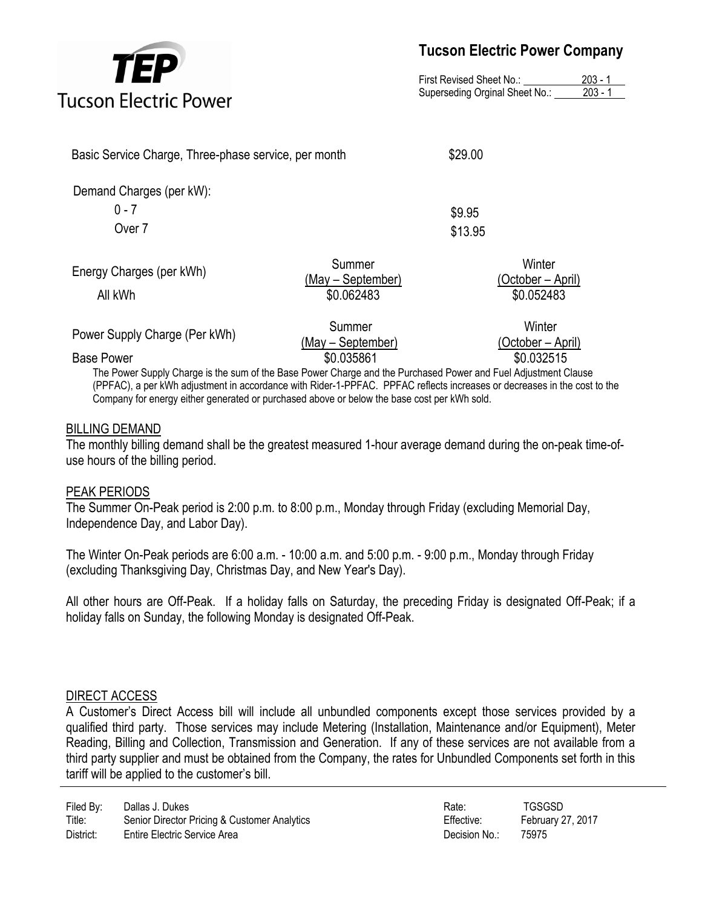

First Revised Sheet No.: 203 - 1 Superseding Orginal Sheet No.: 203 - 1

| Basic Service Charge, Three-phase service, per month |                                           | \$29.00 |                                           |
|------------------------------------------------------|-------------------------------------------|---------|-------------------------------------------|
| Demand Charges (per kW):                             |                                           |         |                                           |
| $0 - 7$                                              |                                           | \$9.95  |                                           |
| Over 7                                               |                                           | \$13.95 |                                           |
| Energy Charges (per kWh)<br>All kWh                  | Summer<br>(May – September)<br>\$0.062483 |         | Winter<br>(October – April)<br>\$0.052483 |
| Power Supply Charge (Per kWh)                        | Summer<br>(May - September)               |         | Winter<br>(October – April)               |

Base Power \$0.035861 \$0.032515 The Power Supply Charge is the sum of the Base Power Charge and the Purchased Power and Fuel Adjustment Clause (PPFAC), a per kWh adjustment in accordance with Rider-1-PPFAC. PPFAC reflects increases or decreases in the cost to the Company for energy either generated or purchased above or below the base cost per kWh sold.

#### BILLING DEMAND

The monthly billing demand shall be the greatest measured 1-hour average demand during the on-peak time-ofuse hours of the billing period.

#### PEAK PERIODS

The Summer On-Peak period is 2:00 p.m. to 8:00 p.m., Monday through Friday (excluding Memorial Day, Independence Day, and Labor Day).

The Winter On-Peak periods are 6:00 a.m. - 10:00 a.m. and 5:00 p.m. - 9:00 p.m., Monday through Friday (excluding Thanksgiving Day, Christmas Day, and New Year's Day).

All other hours are Off-Peak. If a holiday falls on Saturday, the preceding Friday is designated Off-Peak; if a holiday falls on Sunday, the following Monday is designated Off-Peak.

#### DIRECT ACCESS

A Customer's Direct Access bill will include all unbundled components except those services provided by a qualified third party. Those services may include Metering (Installation, Maintenance and/or Equipment), Meter Reading, Billing and Collection, Transmission and Generation. If any of these services are not available from a third party supplier and must be obtained from the Company, the rates for Unbundled Components set forth in this tariff will be applied to the customer's bill.

| Filed By: | Dallas J. Dukes                              | Rate:         | TGSGSD     |
|-----------|----------------------------------------------|---------------|------------|
| Title:    | Senior Director Pricing & Customer Analytics | Effective:    | February 2 |
| District: | Entire Electric Service Area                 | Decision No.: | 75975      |

Effective: February 27, 2017 Decision No.: 75975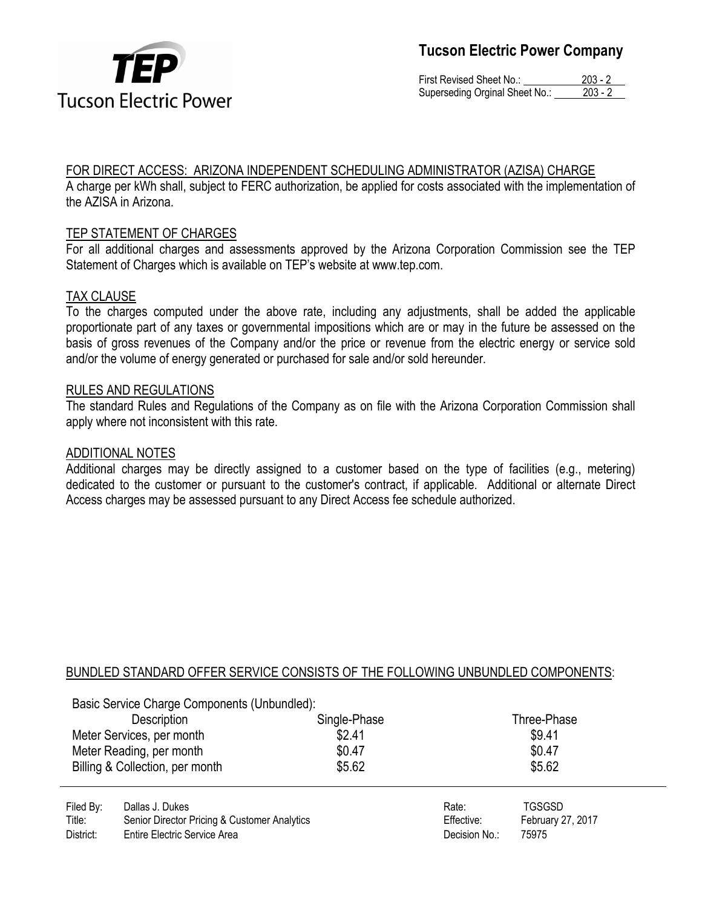

First Revised Sheet No.: 203 - 2 Superseding Orginal Sheet No.: 203 - 2

## FOR DIRECT ACCESS: ARIZONA INDEPENDENT SCHEDULING ADMINISTRATOR (AZISA) CHARGE

A charge per kWh shall, subject to FERC authorization, be applied for costs associated with the implementation of the AZISA in Arizona.

## TEP STATEMENT OF CHARGES

For all additional charges and assessments approved by the Arizona Corporation Commission see the TEP Statement of Charges which is available on TEP's website at www.tep.com.

## TAX CLAUSE

To the charges computed under the above rate, including any adjustments, shall be added the applicable proportionate part of any taxes or governmental impositions which are or may in the future be assessed on the basis of gross revenues of the Company and/or the price or revenue from the electric energy or service sold and/or the volume of energy generated or purchased for sale and/or sold hereunder.

## RULES AND REGULATIONS

The standard Rules and Regulations of the Company as on file with the Arizona Corporation Commission shall apply where not inconsistent with this rate.

#### ADDITIONAL NOTES

Additional charges may be directly assigned to a customer based on the type of facilities (e.g., metering) dedicated to the customer or pursuant to the customer's contract, if applicable. Additional or alternate Direct Access charges may be assessed pursuant to any Direct Access fee schedule authorized.

## BUNDLED STANDARD OFFER SERVICE CONSISTS OF THE FOLLOWING UNBUNDLED COMPONENTS:

|                                                       | Basic Service Charge Components (Unbundled): |                  |               |                   |  |
|-------------------------------------------------------|----------------------------------------------|------------------|---------------|-------------------|--|
|                                                       | Description                                  | Single-Phase     |               | Three-Phase       |  |
| Meter Services, per month<br>Meter Reading, per month |                                              | \$2.41<br>\$0.47 |               | \$9.41<br>\$0.47  |  |
|                                                       |                                              |                  |               |                   |  |
|                                                       | Billing & Collection, per month              | \$5.62           |               | \$5.62            |  |
| Filed By:                                             | Dallas J. Dukes                              |                  | Rate:         | <b>TGSGSD</b>     |  |
| Title:                                                | Senior Director Pricing & Customer Analytics |                  | Effective:    | February 27, 2017 |  |
| District:                                             | Entire Electric Service Area                 |                  | Decision No.: | 75975             |  |